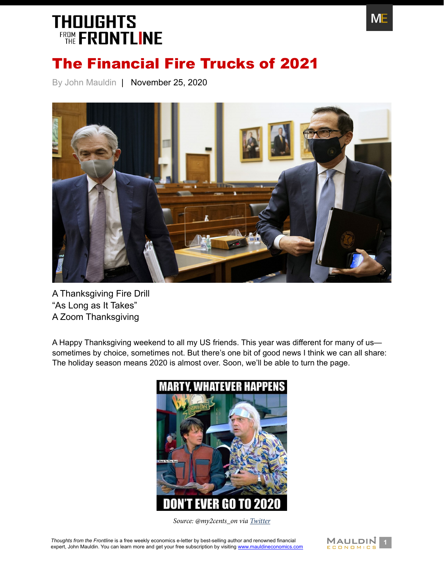



#### The Financial Fire Trucks of 2021

By John Mauldin | November 25, 2020



[A Thanksgiving Fire Drill](#page-1-0) ["As Long as It Takes"](#page-2-0) [A Zoom Thanksgiving](#page-5-0)

A Happy Thanksgiving weekend to all my US friends. This year was different for many of us sometimes by choice, sometimes not. But there's one bit of good news I think we can all share: The holiday season means 2020 is almost over. Soon, we'll be able to turn the page.



*Source: @my2cents\_on via [Twitter](https://twitter.com/my2cents_on/status/1328806330346434560?s=20)*

**1** *Thoughts from the Frontline* is a free weekly economics e-letter by best-selling author and renowned financial **MALLDIN** 1<br>
expert, John Mauldin. You can learn more and get your free subscription by visiting www.mauld expert, John Mauldin. You can learn more and get your free subscription by visiting [www.mauldineconomics.com](http://www.mauldineconomics.com/subscribe)

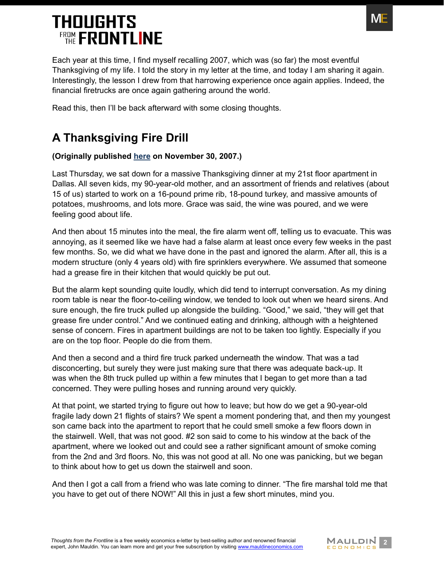

Each year at this time, I find myself recalling 2007, which was (so far) the most eventful Thanksgiving of my life. I told the story in my letter at the time, and today I am sharing it again. Interestingly, the lesson I drew from that harrowing experience once again applies. Indeed, the financial firetrucks are once again gathering around the world.

Read this, then I'll be back afterward with some closing thoughts.

#### <span id="page-1-0"></span>**A Thanksgiving Fire Drill**

#### **(Originally published [here](https://www.mauldineconomics.com/frontlinethoughts/the-financial-fire-trucks-are-gathering-mwo113007) on November 30, 2007.)**

Last Thursday, we sat down for a massive Thanksgiving dinner at my 21st floor apartment in Dallas. All seven kids, my 90-year-old mother, and an assortment of friends and relatives (about 15 of us) started to work on a 16-pound prime rib, 18-pound turkey, and massive amounts of potatoes, mushrooms, and lots more. Grace was said, the wine was poured, and we were feeling good about life.

And then about 15 minutes into the meal, the fire alarm went off, telling us to evacuate. This was annoying, as it seemed like we have had a false alarm at least once every few weeks in the past few months. So, we did what we have done in the past and ignored the alarm. After all, this is a modern structure (only 4 years old) with fire sprinklers everywhere. We assumed that someone had a grease fire in their kitchen that would quickly be put out.

But the alarm kept sounding quite loudly, which did tend to interrupt conversation. As my dining room table is near the floor-to-ceiling window, we tended to look out when we heard sirens. And sure enough, the fire truck pulled up alongside the building. "Good," we said, "they will get that grease fire under control." And we continued eating and drinking, although with a heightened sense of concern. Fires in apartment buildings are not to be taken too lightly. Especially if you are on the top floor. People do die from them.

And then a second and a third fire truck parked underneath the window. That was a tad disconcerting, but surely they were just making sure that there was adequate back-up. It was when the 8th truck pulled up within a few minutes that I began to get more than a tad concerned. They were pulling hoses and running around very quickly.

At that point, we started trying to figure out how to leave; but how do we get a 90-year-old fragile lady down 21 flights of stairs? We spent a moment pondering that, and then my youngest son came back into the apartment to report that he could smell smoke a few floors down in the stairwell. Well, that was not good. #2 son said to come to his window at the back of the apartment, where we looked out and could see a rather significant amount of smoke coming from the 2nd and 3rd floors. No, this was not good at all. No one was panicking, but we began to think about how to get us down the stairwell and soon.

And then I got a call from a friend who was late coming to dinner. "The fire marshal told me that you have to get out of there NOW!" All this in just a few short minutes, mind you.

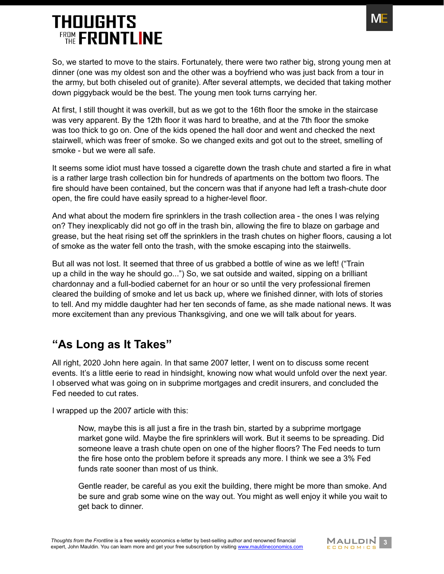

So, we started to move to the stairs. Fortunately, there were two rather big, strong young men at dinner (one was my oldest son and the other was a boyfriend who was just back from a tour in the army, but both chiseled out of granite). After several attempts, we decided that taking mother down piggyback would be the best. The young men took turns carrying her.

At first, I still thought it was overkill, but as we got to the 16th floor the smoke in the staircase was very apparent. By the 12th floor it was hard to breathe, and at the 7th floor the smoke was too thick to go on. One of the kids opened the hall door and went and checked the next stairwell, which was freer of smoke. So we changed exits and got out to the street, smelling of smoke - but we were all safe.

It seems some idiot must have tossed a cigarette down the trash chute and started a fire in what is a rather large trash collection bin for hundreds of apartments on the bottom two floors. The fire should have been contained, but the concern was that if anyone had left a trash-chute door open, the fire could have easily spread to a higher-level floor.

And what about the modern fire sprinklers in the trash collection area - the ones I was relying on? They inexplicably did not go off in the trash bin, allowing the fire to blaze on garbage and grease, but the heat rising set off the sprinklers in the trash chutes on higher floors, causing a lot of smoke as the water fell onto the trash, with the smoke escaping into the stairwells.

But all was not lost. It seemed that three of us grabbed a bottle of wine as we left! ("Train up a child in the way he should go...") So, we sat outside and waited, sipping on a brilliant chardonnay and a full-bodied cabernet for an hour or so until the very professional firemen cleared the building of smoke and let us back up, where we finished dinner, with lots of stories to tell. And my middle daughter had her ten seconds of fame, as she made national news. It was more excitement than any previous Thanksgiving, and one we will talk about for years.

#### <span id="page-2-0"></span>**"As Long as It Takes"**

All right, 2020 John here again. In that same 2007 letter, I went on to discuss some recent events. It's a little eerie to read in hindsight, knowing now what would unfold over the next year. I observed what was going on in subprime mortgages and credit insurers, and concluded the Fed needed to cut rates.

I wrapped up the 2007 article with this:

Now, maybe this is all just a fire in the trash bin, started by a subprime mortgage market gone wild. Maybe the fire sprinklers will work. But it seems to be spreading. Did someone leave a trash chute open on one of the higher floors? The Fed needs to turn the fire hose onto the problem before it spreads any more. I think we see a 3% Fed funds rate sooner than most of us think.

Gentle reader, be careful as you exit the building, there might be more than smoke. And be sure and grab some wine on the way out. You might as well enjoy it while you wait to get back to dinner.

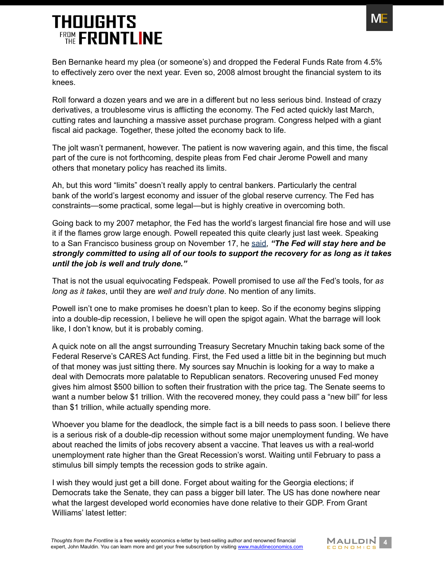Ben Bernanke heard my plea (or someone's) and dropped the Federal Funds Rate from 4.5% to effectively zero over the next year. Even so, 2008 almost brought the financial system to its knees.

Roll forward a dozen years and we are in a different but no less serious bind. Instead of crazy derivatives, a troublesome virus is afflicting the economy. The Fed acted quickly last March, cutting rates and launching a massive asset purchase program. Congress helped with a giant fiscal aid package. Together, these jolted the economy back to life.

The jolt wasn't permanent, however. The patient is now wavering again, and this time, the fiscal part of the cure is not forthcoming, despite pleas from Fed chair Jerome Powell and many others that monetary policy has reached its limits.

Ah, but this word "limits" doesn't really apply to central bankers. Particularly the central bank of the world's largest economy and issuer of the global reserve currency. The Fed has constraints—some practical, some legal—but is highly creative in overcoming both.

Going back to my 2007 metaphor, the Fed has the world's largest financial fire hose and will use it if the flames grow large enough. Powell repeated this quite clearly just last week. Speaking to a San Francisco business group on November 17, he [said](https://finance.yahoo.com/news/powell-fed-to-keep-low-interest-rates-policy-accommodative-as-long-as-it-takes-190109871.html), *"The Fed will stay here and be strongly committed to using all of our tools to support the recovery for as long as it takes until the job is well and truly done."*

That is not the usual equivocating Fedspeak. Powell promised to use *all* the Fed's tools, for *as long as it takes*, until they are *well and truly done*. No mention of any limits.

Powell isn't one to make promises he doesn't plan to keep. So if the economy begins slipping into a double-dip recession, I believe he will open the spigot again. What the barrage will look like, I don't know, but it is probably coming.

A quick note on all the angst surrounding Treasury Secretary Mnuchin taking back some of the Federal Reserve's CARES Act funding. First, the Fed used a little bit in the beginning but much of that money was just sitting there. My sources say Mnuchin is looking for a way to make a deal with Democrats more palatable to Republican senators. Recovering unused Fed money gives him almost \$500 billion to soften their frustration with the price tag. The Senate seems to want a number below \$1 trillion. With the recovered money, they could pass a "new bill" for less than \$1 trillion, while actually spending more.

Whoever you blame for the deadlock, the simple fact is a bill needs to pass soon. I believe there is a serious risk of a double-dip recession without some major unemployment funding. We have about reached the limits of jobs recovery absent a vaccine. That leaves us with a real-world unemployment rate higher than the Great Recession's worst. Waiting until February to pass a stimulus bill simply tempts the recession gods to strike again.

I wish they would just get a bill done. Forget about waiting for the Georgia elections; if Democrats take the Senate, they can pass a bigger bill later. The US has done nowhere near what the largest developed world economies have done relative to their GDP. From Grant Williams' latest letter:

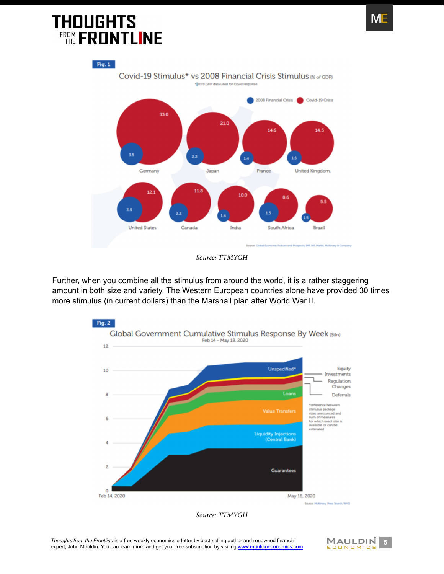



*Source: TTMYGH*

Further, when you combine all the stimulus from around the world, it is a rather staggering amount in both size and variety. The Western European countries alone have provided 30 times more stimulus (in current dollars) than the Marshall plan after World War II.



*Source: TTMYGH*

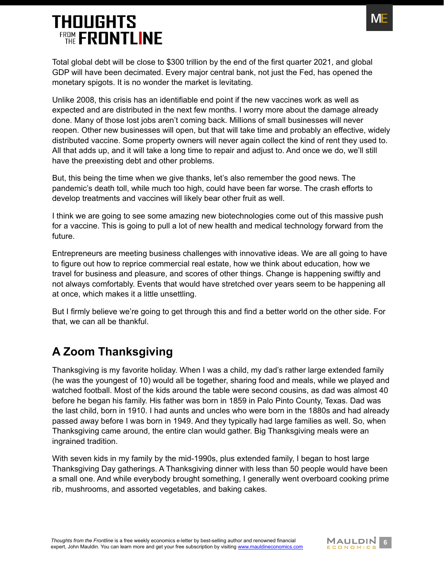

Total global debt will be close to \$300 trillion by the end of the first quarter 2021, and global GDP will have been decimated. Every major central bank, not just the Fed, has opened the monetary spigots. It is no wonder the market is levitating.

Unlike 2008, this crisis has an identifiable end point if the new vaccines work as well as expected and are distributed in the next few months. I worry more about the damage already done. Many of those lost jobs aren't coming back. Millions of small businesses will never reopen. Other new businesses will open, but that will take time and probably an effective, widely distributed vaccine. Some property owners will never again collect the kind of rent they used to. All that adds up, and it will take a long time to repair and adjust to. And once we do, we'll still have the preexisting debt and other problems.

But, this being the time when we give thanks, let's also remember the good news. The pandemic's death toll, while much too high, could have been far worse. The crash efforts to develop treatments and vaccines will likely bear other fruit as well.

I think we are going to see some amazing new biotechnologies come out of this massive push for a vaccine. This is going to pull a lot of new health and medical technology forward from the future.

Entrepreneurs are meeting business challenges with innovative ideas. We are all going to have to figure out how to reprice commercial real estate, how we think about education, how we travel for business and pleasure, and scores of other things. Change is happening swiftly and not always comfortably. Events that would have stretched over years seem to be happening all at once, which makes it a little unsettling.

But I firmly believe we're going to get through this and find a better world on the other side. For that, we can all be thankful.

#### <span id="page-5-0"></span>**A Zoom Thanksgiving**

Thanksgiving is my favorite holiday. When I was a child, my dad's rather large extended family (he was the youngest of 10) would all be together, sharing food and meals, while we played and watched football. Most of the kids around the table were second cousins, as dad was almost 40 before he began his family. His father was born in 1859 in Palo Pinto County, Texas. Dad was the last child, born in 1910. I had aunts and uncles who were born in the 1880s and had already passed away before I was born in 1949. And they typically had large families as well. So, when Thanksgiving came around, the entire clan would gather. Big Thanksgiving meals were an ingrained tradition.

With seven kids in my family by the mid-1990s, plus extended family, I began to host large Thanksgiving Day gatherings. A Thanksgiving dinner with less than 50 people would have been a small one. And while everybody brought something, I generally went overboard cooking prime rib, mushrooms, and assorted vegetables, and baking cakes.

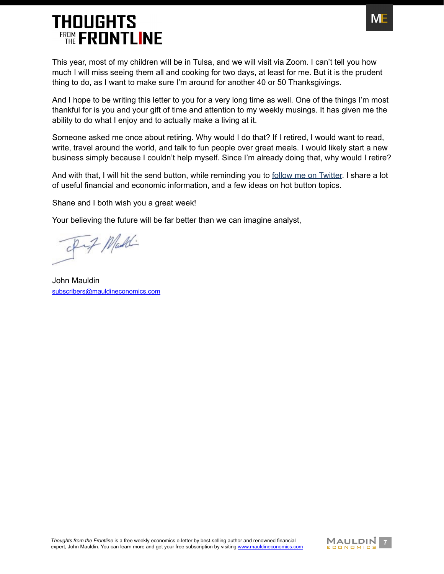This year, most of my children will be in Tulsa, and we will visit via Zoom. I can't tell you how much I will miss seeing them all and cooking for two days, at least for me. But it is the prudent thing to do, as I want to make sure I'm around for another 40 or 50 Thanksgivings.

And I hope to be writing this letter to you for a very long time as well. One of the things I'm most thankful for is you and your gift of time and attention to my weekly musings. It has given me the ability to do what I enjoy and to actually make a living at it.

Someone asked me once about retiring. Why would I do that? If I retired, I would want to read, write, travel around the world, and talk to fun people over great meals. I would likely start a new business simply because I couldn't help myself. Since I'm already doing that, why would I retire?

And with that, I will hit the send button, while reminding you to [follow me on Twitter.](https://twitter.com/JohnFMauldin) I share a lot of useful financial and economic information, and a few ideas on hot button topics.

Shane and I both wish you a great week!

Your believing the future will be far better than we can imagine analyst,

Inf Maddi

John Mauldin [subscribers@mauldineconomics.com](mailto:subscribers%40mauldineconomics.com?subject=)